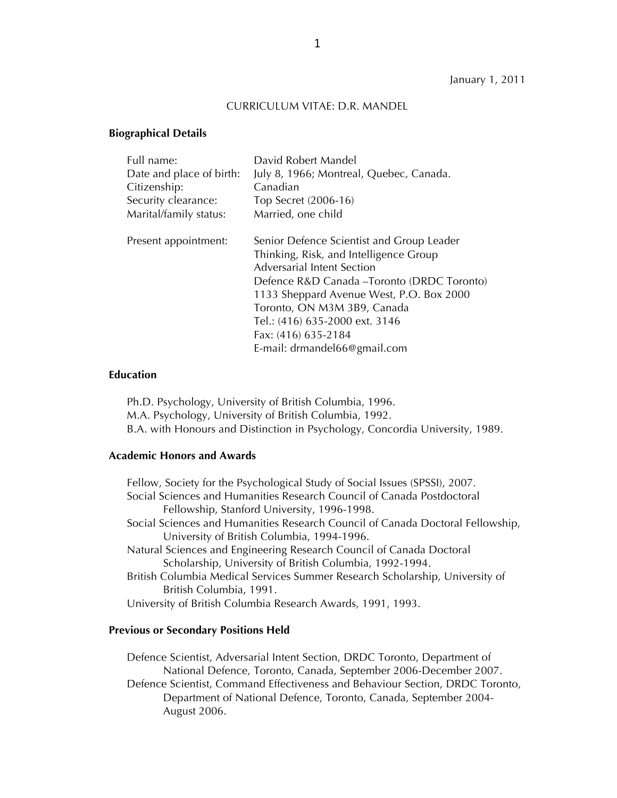#### CURRICULUM VITAE: D.R. MANDEL

#### **Biographical Details**

| Full name:               | David Robert Mandel                         |
|--------------------------|---------------------------------------------|
| Date and place of birth: | July 8, 1966; Montreal, Quebec, Canada.     |
| Citizenship:             | Canadian                                    |
| Security clearance:      | Top Secret (2006-16)                        |
| Marital/family status:   | Married, one child                          |
| Present appointment:     | Senior Defence Scientist and Group Leader   |
|                          | Thinking, Risk, and Intelligence Group      |
|                          | Adversarial Intent Section                  |
|                          | Defence R&D Canada - Toronto (DRDC Toronto) |
|                          | 1133 Sheppard Avenue West, P.O. Box 2000    |
|                          | Toronto, ON M3M 3B9, Canada                 |
|                          | Tel.: (416) 635-2000 ext. 3146              |
|                          | Fax: (416) 635-2184                         |
|                          | E-mail: drmandel66@gmail.com                |

#### **Education**

Ph.D. Psychology, University of British Columbia, 1996. M.A. Psychology, University of British Columbia, 1992. B.A. with Honours and Distinction in Psychology, Concordia University, 1989.

### **Academic Honors and Awards**

Fellow, Society for the Psychological Study of Social Issues (SPSSI), 2007. Social Sciences and Humanities Research Council of Canada Postdoctoral Fellowship, Stanford University, 1996-1998. Social Sciences and Humanities Research Council of Canada Doctoral Fellowship, University of British Columbia, 1994-1996. Natural Sciences and Engineering Research Council of Canada Doctoral Scholarship, University of British Columbia, 1992-1994. British Columbia Medical Services Summer Research Scholarship, University of British Columbia, 1991. University of British Columbia Research Awards, 1991, 1993.

#### **Previous or Secondary Positions Held**

Defence Scientist, Adversarial Intent Section, DRDC Toronto, Department of National Defence, Toronto, Canada, September 2006-December 2007. Defence Scientist, Command Effectiveness and Behaviour Section, DRDC Toronto, Department of National Defence, Toronto, Canada, September 2004- August 2006.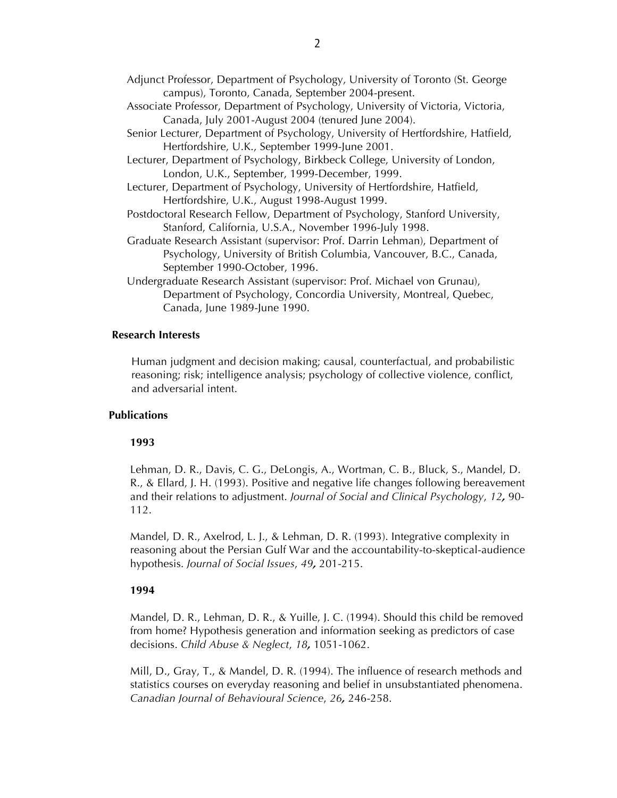- Adjunct Professor, Department of Psychology, University of Toronto (St. George campus), Toronto, Canada, September 2004-present.
- Associate Professor, Department of Psychology, University of Victoria, Victoria, Canada, July 2001-August 2004 (tenured June 2004).
- Senior Lecturer, Department of Psychology, University of Hertfordshire, Hatfield, Hertfordshire, U.K., September 1999-June 2001.
- Lecturer, Department of Psychology, Birkbeck College, University of London, London, U.K., September, 1999-December, 1999.
- Lecturer, Department of Psychology, University of Hertfordshire, Hatfield, Hertfordshire, U.K., August 1998-August 1999.
- Postdoctoral Research Fellow, Department of Psychology, Stanford University, Stanford, California, U.S.A., November 1996-July 1998.
- Graduate Research Assistant (supervisor: Prof. Darrin Lehman), Department of Psychology, University of British Columbia, Vancouver, B.C., Canada, September 1990-October, 1996.
- Undergraduate Research Assistant (supervisor: Prof. Michael von Grunau), Department of Psychology, Concordia University, Montreal, Quebec, Canada, June 1989-June 1990.

### **Research Interests**

Human judgment and decision making; causal, counterfactual, and probabilistic reasoning; risk; intelligence analysis; psychology of collective violence, conflict, and adversarial intent.

### **Publications**

#### **1993**

Lehman, D. R., Davis, C. G., DeLongis, A., Wortman, C. B., Bluck, S., Mandel, D. R., & Ellard, J. H. (1993). Positive and negative life changes following bereavement and their relations to adjustment. *Journal of Social and Clinical Psychology*, *12,* 90- 112.

Mandel, D. R., Axelrod, L. J., & Lehman, D. R. (1993). Integrative complexity in reasoning about the Persian Gulf War and the accountability-to-skeptical-audience hypothesis. *Journal of Social Issues*, *49,* 201-215.

#### **1994**

Mandel, D. R., Lehman, D. R., & Yuille, J. C. (1994). Should this child be removed from home? Hypothesis generation and information seeking as predictors of case decisions. *Child Abuse & Neglect*, *18,* 1051-1062.

Mill, D., Gray, T., & Mandel, D. R. (1994). The influence of research methods and statistics courses on everyday reasoning and belief in unsubstantiated phenomena. *Canadian Journal of Behavioural Science*, *26,* 246-258.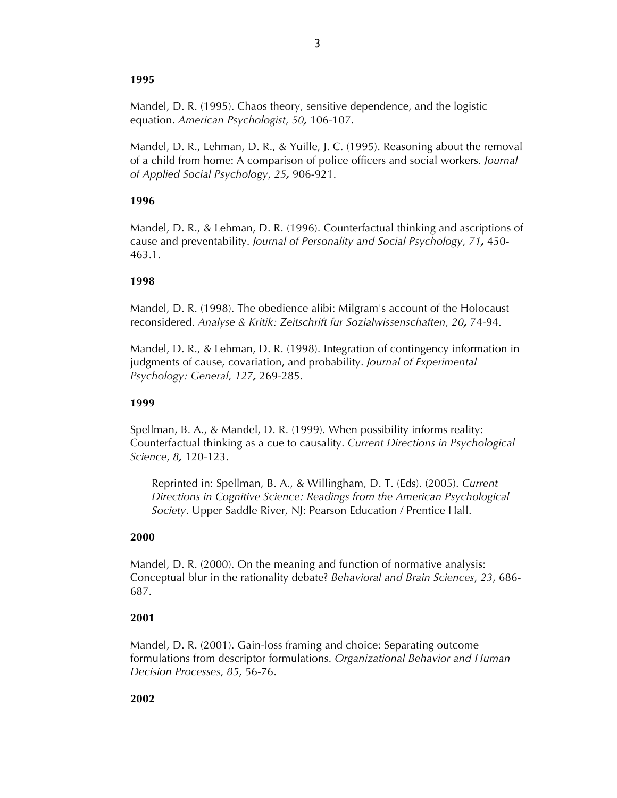### **1995**

Mandel, D. R. (1995). Chaos theory, sensitive dependence, and the logistic equation. *American Psychologist*, *50,* 106-107.

Mandel, D. R., Lehman, D. R., & Yuille, J. C. (1995). Reasoning about the removal of a child from home: A comparison of police officers and social workers. *Journal of Applied Social Psychology*, *25,* 906-921.

# **1996**

Mandel, D. R., & Lehman, D. R. (1996). Counterfactual thinking and ascriptions of cause and preventability. *Journal of Personality and Social Psychology*, *71,* 450- 463.1.

### **1998**

Mandel, D. R. (1998). The obedience alibi: Milgram's account of the Holocaust reconsidered. *Analyse & Kritik: Zeitschrift fur Sozialwissenschaften*, *20,* 74-94.

Mandel, D. R., & Lehman, D. R. (1998). Integration of contingency information in judgments of cause, covariation, and probability. *Journal of Experimental Psychology: General*, *127,* 269-285.

### **1999**

Spellman, B. A., & Mandel, D. R. (1999). When possibility informs reality: Counterfactual thinking as a cue to causality. *Current Directions in Psychological Science*, *8,* 120-123.

Reprinted in: Spellman, B. A., & Willingham, D. T. (Eds). (2005). *Current Directions in Cognitive Science: Readings from the American Psychological Society*. Upper Saddle River, NJ: Pearson Education / Prentice Hall.

### **2000**

Mandel, D. R. (2000). On the meaning and function of normative analysis: Conceptual blur in the rationality debate? *Behavioral and Brain Sciences*, *23*, 686- 687.

### **2001**

Mandel, D. R. (2001). Gain-loss framing and choice: Separating outcome formulations from descriptor formulations. *Organizational Behavior and Human Decision Processes*, *85*, 56-76.

### **2002**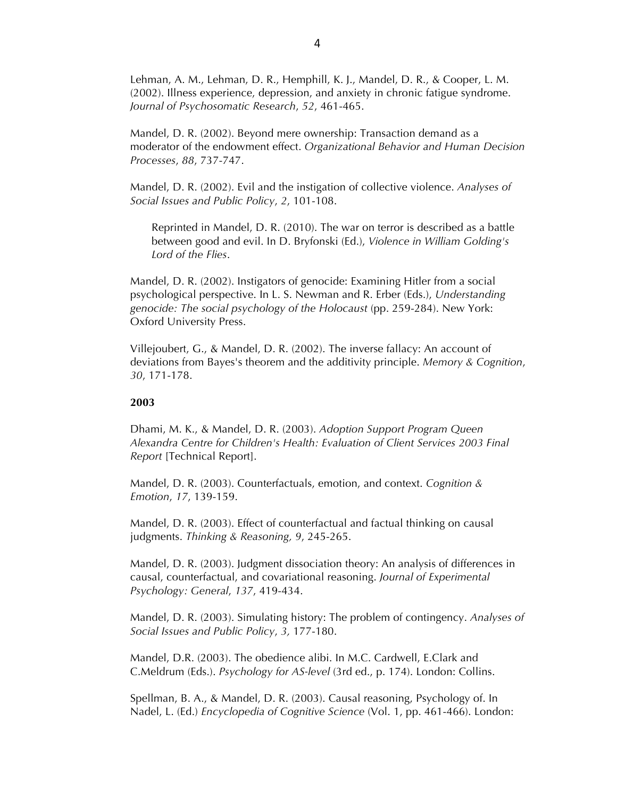Lehman, A. M., Lehman, D. R., Hemphill, K. J., Mandel, D. R., & Cooper, L. M. (2002). Illness experience, depression, and anxiety in chronic fatigue syndrome. *Journal of Psychosomatic Research*, *52*, 461-465.

Mandel, D. R. (2002). Beyond mere ownership: Transaction demand as a moderator of the endowment effect. *Organizational Behavior and Human Decision Processes*, *88*, 737-747.

Mandel, D. R. (2002). Evil and the instigation of collective violence. *Analyses of Social Issues and Public Policy*, *2*, 101-108.

Reprinted in Mandel, D. R. (2010). The war on terror is described as a battle between good and evil. In D. Bryfonski (Ed.), *Violence in William Golding's Lord of the Flies*.

Mandel, D. R. (2002). Instigators of genocide: Examining Hitler from a social psychological perspective. In L. S. Newman and R. Erber (Eds.), *Understanding genocide: The social psychology of the Holocaust* (pp. 259-284). New York: Oxford University Press.

Villejoubert, G., & Mandel, D. R. (2002). The inverse fallacy: An account of deviations from Bayes's theorem and the additivity principle. *Memory & Cognition*, *30*, 171-178.

#### **2003**

Dhami, M. K., & Mandel, D. R. (2003). *Adoption Support Program Queen Alexandra Centre for Children's Health: Evaluation of Client Services 2003 Final Report* [Technical Report].

Mandel, D. R. (2003). Counterfactuals, emotion, and context. *Cognition & Emotion*, *17*, 139-159.

Mandel, D. R. (2003). Effect of counterfactual and factual thinking on causal judgments. *Thinking & Reasoning, 9*, 245-265.

Mandel, D. R. (2003). Judgment dissociation theory: An analysis of differences in causal, counterfactual, and covariational reasoning. *Journal of Experimental Psychology: General*, *137*, 419-434.

Mandel, D. R. (2003). Simulating history: The problem of contingency. *Analyses of Social Issues and Public Policy*, *3,* 177-180.

Mandel, D.R. (2003). The obedience alibi. In M.C. Cardwell, E.Clark and C.Meldrum (Eds.). *Psychology for AS-level* (3rd ed., p. 174). London: Collins.

Spellman, B. A., & Mandel, D. R. (2003). Causal reasoning, Psychology of. In Nadel, L. (Ed.) *Encyclopedia of Cognitive Science* (Vol. 1, pp. 461-466). London: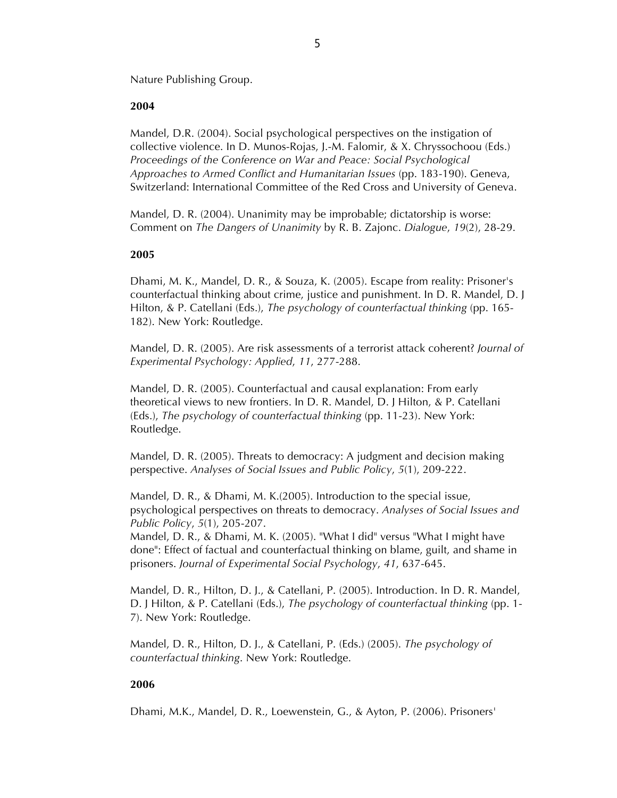Nature Publishing Group.

### **2004**

Mandel, D.R. (2004). Social psychological perspectives on the instigation of collective violence. In D. Munos-Rojas, J.-M. Falomir, & X. Chryssochoou (Eds.) *Proceedings of the Conference on War and Peace: Social Psychological Approaches to Armed Conflict and Humanitarian Issues* (pp. 183-190). Geneva, Switzerland: International Committee of the Red Cross and University of Geneva.

Mandel, D. R. (2004). Unanimity may be improbable; dictatorship is worse: Comment on *The Dangers of Unanimity* by R. B. Zajonc. *Dialogue*, *19*(2), 28-29.

### **2005**

Dhami, M. K., Mandel, D. R., & Souza, K. (2005). Escape from reality: Prisoner's counterfactual thinking about crime, justice and punishment. In D. R. Mandel, D. J Hilton, & P. Catellani (Eds.), *The psychology of counterfactual thinking* (pp. 165- 182). New York: Routledge.

Mandel, D. R. (2005). Are risk assessments of a terrorist attack coherent? *Journal of Experimental Psychology: Applied*, *11*, 277-288.

Mandel, D. R. (2005). Counterfactual and causal explanation: From early theoretical views to new frontiers. In D. R. Mandel, D. J Hilton, & P. Catellani (Eds.), *The psychology of counterfactual thinking* (pp. 11-23). New York: Routledge.

Mandel, D. R. (2005). Threats to democracy: A judgment and decision making perspective. *Analyses of Social Issues and Public Policy*, *5*(1), 209-222.

Mandel, D. R., & Dhami, M. K.(2005). Introduction to the special issue, psychological perspectives on threats to democracy. *Analyses of Social Issues and Public Policy*, *5*(1), 205-207.

Mandel, D. R., & Dhami, M. K. (2005). "What I did" versus "What I might have done": Effect of factual and counterfactual thinking on blame, guilt, and shame in prisoners. *Journal of Experimental Social Psychology*, *41*, 637-645.

Mandel, D. R., Hilton, D. J., & Catellani, P. (2005). Introduction. In D. R. Mandel, D. J Hilton, & P. Catellani (Eds.), *The psychology of counterfactual thinking* (pp. 1- 7). New York: Routledge.

Mandel, D. R., Hilton, D. J., & Catellani, P. (Eds.) (2005). *The psychology of counterfactual thinking*. New York: Routledge.

# **2006**

Dhami, M.K., Mandel, D. R., Loewenstein, G., & Ayton, P. (2006). Prisoners'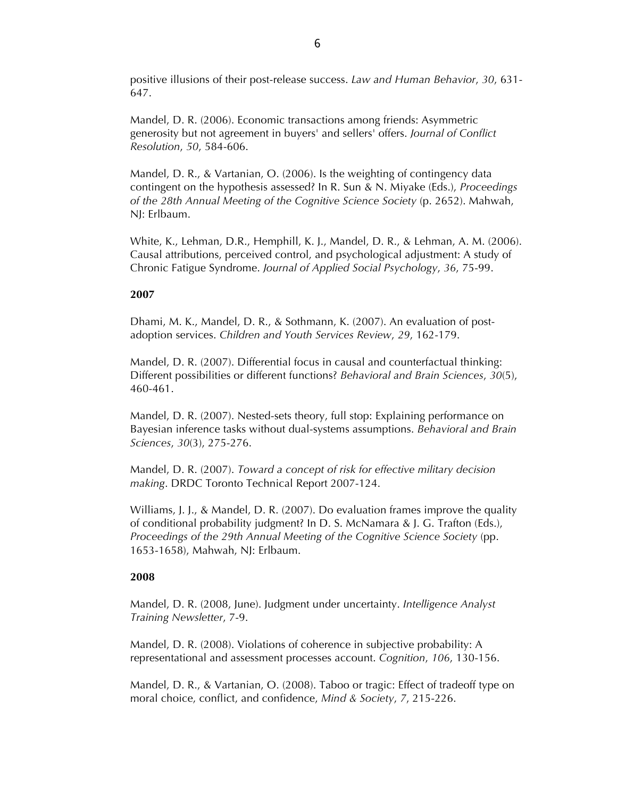positive illusions of their post-release success. *Law and Human Behavior*, *30*, 631- 647.

Mandel, D. R. (2006). Economic transactions among friends: Asymmetric generosity but not agreement in buyers' and sellers' offers. *Journal of Conflict Resolution*, *50*, 584-606.

Mandel, D. R., & Vartanian, O. (2006). Is the weighting of contingency data contingent on the hypothesis assessed? In R. Sun & N. Miyake (Eds.), *Proceedings of the 28th Annual Meeting of the Cognitive Science Society* (p. 2652). Mahwah, NJ: Erlbaum.

White, K., Lehman, D.R., Hemphill, K. J., Mandel, D. R., & Lehman, A. M. (2006). Causal attributions, perceived control, and psychological adjustment: A study of Chronic Fatigue Syndrome. *Journal of Applied Social Psychology*, *36*, 75-99.

### **2007**

Dhami, M. K., Mandel, D. R., & Sothmann, K. (2007). An evaluation of postadoption services. *Children and Youth Services Review*, *29*, 162-179.

Mandel, D. R. (2007). Differential focus in causal and counterfactual thinking: Different possibilities or different functions? *Behavioral and Brain Sciences*, *30*(5), 460-461.

Mandel, D. R. (2007). Nested-sets theory, full stop: Explaining performance on Bayesian inference tasks without dual-systems assumptions. *Behavioral and Brain Sciences*, *30*(3), 275-276.

Mandel, D. R. (2007). *Toward a concept of risk for effective military decision making*. DRDC Toronto Technical Report 2007-124.

Williams, J. J., & Mandel, D. R. (2007). Do evaluation frames improve the quality of conditional probability judgment? In D. S. McNamara & J. G. Trafton (Eds.), *Proceedings of the 29th Annual Meeting of the Cognitive Science Society* (pp. 1653-1658), Mahwah, NJ: Erlbaum.

### **2008**

Mandel, D. R. (2008, June). Judgment under uncertainty. *Intelligence Analyst Training Newsletter*, 7-9.

Mandel, D. R. (2008). Violations of coherence in subjective probability: A representational and assessment processes account. *Cognition*, *106*, 130-156.

Mandel, D. R., & Vartanian, O. (2008). Taboo or tragic: Effect of tradeoff type on moral choice, conflict, and confidence, *Mind & Society*, *7*, 215-226.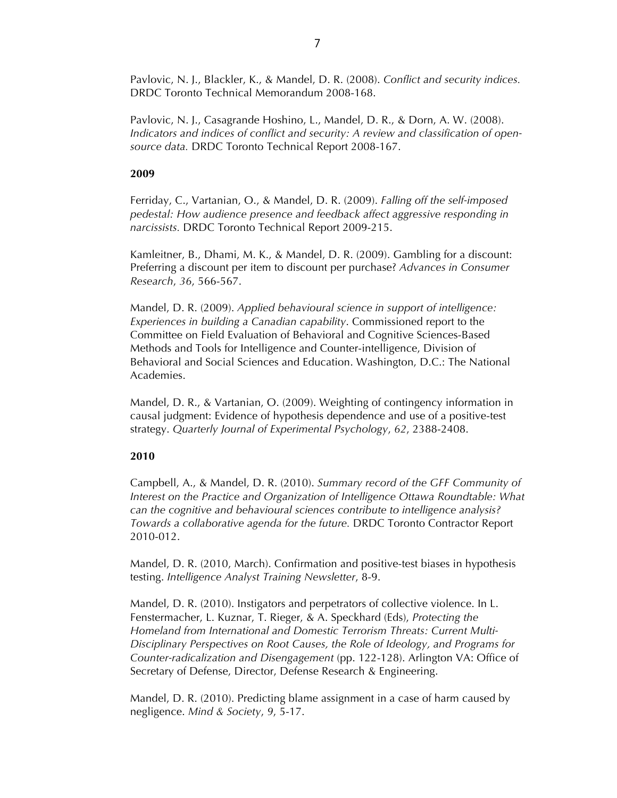Pavlovic, N. J., Blackler, K., & Mandel, D. R. (2008). *Conflict and security indices.* DRDC Toronto Technical Memorandum 2008-168.

Pavlovic, N. J., Casagrande Hoshino, L., Mandel, D. R., & Dorn, A. W. (2008). *Indicators and indices of conflict and security: A review and classification of opensource data.* DRDC Toronto Technical Report 2008-167.

### **2009**

Ferriday, C., Vartanian, O., & Mandel, D. R. (2009). *Falling off the self-imposed pedestal: How audience presence and feedback affect aggressive responding in narcissists.* DRDC Toronto Technical Report 2009-215.

Kamleitner, B., Dhami, M. K., & Mandel, D. R. (2009). Gambling for a discount: Preferring a discount per item to discount per purchase? *Advances in Consumer Research*, *36*, 566-567.

Mandel, D. R. (2009). *Applied behavioural science in support of intelligence: Experiences in building a Canadian capability*. Commissioned report to the Committee on Field Evaluation of Behavioral and Cognitive Sciences-Based Methods and Tools for Intelligence and Counter-intelligence, Division of Behavioral and Social Sciences and Education. Washington, D.C.: The National Academies.

Mandel, D. R., & Vartanian, O. (2009). Weighting of contingency information in causal judgment: Evidence of hypothesis dependence and use of a positive-test strategy. *Quarterly Journal of Experimental Psychology*, *62*, 2388-2408.

### **2010**

Campbell, A., & Mandel, D. R. (2010). *Summary record of the GFF Community of Interest on the Practice and Organization of Intelligence Ottawa Roundtable: What can the cognitive and behavioural sciences contribute to intelligence analysis? Towards a collaborative agenda for the future.* DRDC Toronto Contractor Report 2010-012.

Mandel, D. R. (2010, March). Confirmation and positive-test biases in hypothesis testing. *Intelligence Analyst Training Newsletter*, 8-9.

Mandel, D. R. (2010). Instigators and perpetrators of collective violence. In L. Fenstermacher, L. Kuznar, T. Rieger, & A. Speckhard (Eds), *Protecting the Homeland from International and Domestic Terrorism Threats: Current Multi-Disciplinary Perspectives on Root Causes, the Role of Ideology, and Programs for Counter-radicalization and Disengagement* (pp. 122-128). Arlington VA: Office of Secretary of Defense, Director, Defense Research & Engineering.

Mandel, D. R. (2010). Predicting blame assignment in a case of harm caused by negligence. *Mind & Society*, *9*, 5-17.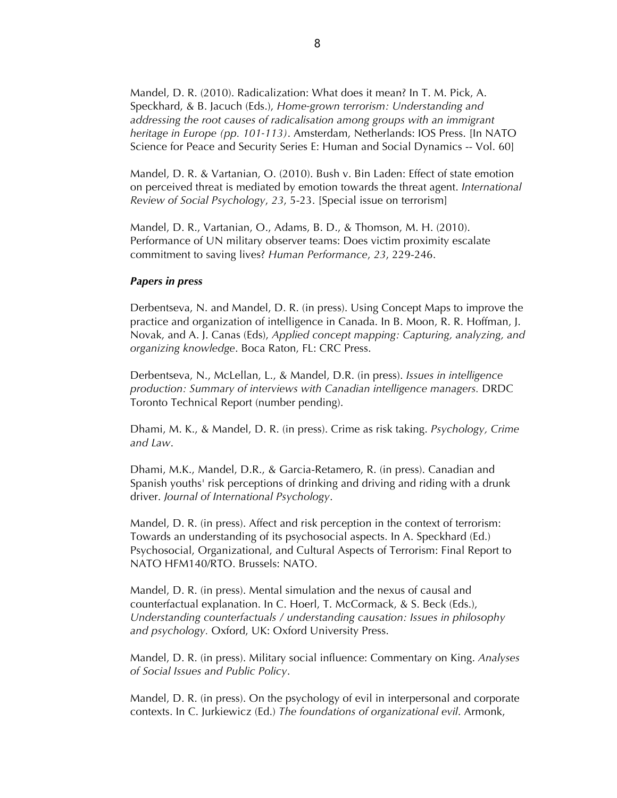Mandel, D. R. (2010). Radicalization: What does it mean? In T. M. Pick, A. Speckhard, & B. Jacuch (Eds.), *Home-grown terrorism: Understanding and addressing the root causes of radicalisation among groups with an immigrant heritage in Europe (pp. 101-113)*. Amsterdam, Netherlands: IOS Press. [In NATO Science for Peace and Security Series E: Human and Social Dynamics -- Vol. 60]

Mandel, D. R. & Vartanian, O. (2010). Bush v. Bin Laden: Effect of state emotion on perceived threat is mediated by emotion towards the threat agent. *International Review of Social Psychology*, *23*, 5-23. [Special issue on terrorism]

Mandel, D. R., Vartanian, O., Adams, B. D., & Thomson, M. H. (2010). Performance of UN military observer teams: Does victim proximity escalate commitment to saving lives? *Human Performance*, *23*, 229-246.

### *Papers in press*

Derbentseva, N. and Mandel, D. R. (in press). Using Concept Maps to improve the practice and organization of intelligence in Canada. In B. Moon, R. R. Hoffman, J. Novak, and A. J. Canas (Eds), *Applied concept mapping: Capturing, analyzing, and organizing knowledge*. Boca Raton, FL: CRC Press.

Derbentseva, N., McLellan, L., & Mandel, D.R. (in press). *Issues in intelligence production: Summary of interviews with Canadian intelligence managers.* DRDC Toronto Technical Report (number pending).

Dhami, M. K., & Mandel, D. R. (in press). Crime as risk taking. *Psychology, Crime and Law*.

Dhami, M.K., Mandel, D.R., & Garcia-Retamero, R. (in press). Canadian and Spanish youths' risk perceptions of drinking and driving and riding with a drunk driver. *Journal of International Psychology*.

Mandel, D. R. (in press). Affect and risk perception in the context of terrorism: Towards an understanding of its psychosocial aspects. In A. Speckhard (Ed.) Psychosocial, Organizational, and Cultural Aspects of Terrorism: Final Report to NATO HFM140/RTO. Brussels: NATO.

Mandel, D. R. (in press). Mental simulation and the nexus of causal and counterfactual explanation. In C. Hoerl, T. McCormack, & S. Beck (Eds.), *Understanding counterfactuals / understanding causation: Issues in philosophy and psychology.* Oxford, UK: Oxford University Press.

Mandel, D. R. (in press). Military social influence: Commentary on King. *Analyses of Social Issues and Public Policy*.

Mandel, D. R. (in press). On the psychology of evil in interpersonal and corporate contexts. In C. Jurkiewicz (Ed.) *The foundations of organizational evil*. Armonk,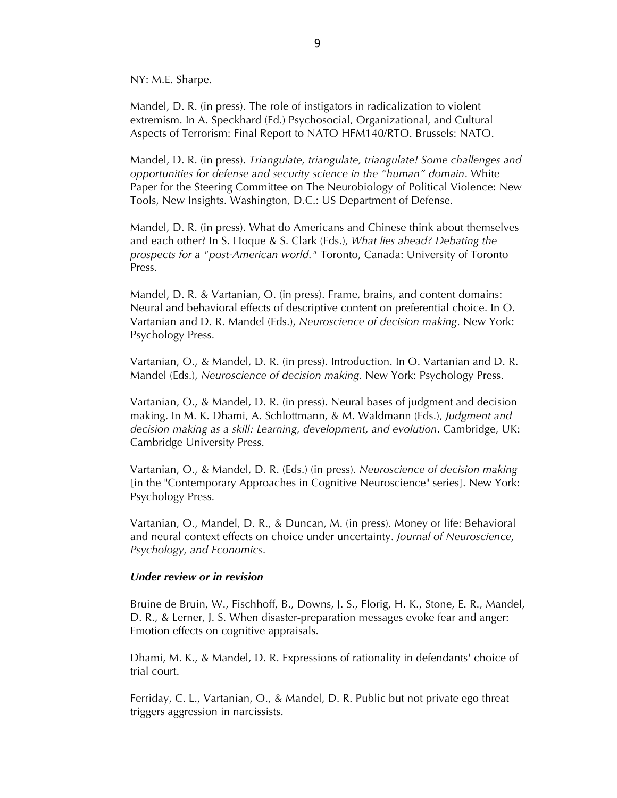NY: M.E. Sharpe.

Mandel, D. R. (in press). The role of instigators in radicalization to violent extremism. In A. Speckhard (Ed.) Psychosocial, Organizational, and Cultural Aspects of Terrorism: Final Report to NATO HFM140/RTO. Brussels: NATO.

Mandel, D. R. (in press). *Triangulate, triangulate, triangulate! Some challenges and opportunities for defense and security science in the "human" domain*. White Paper for the Steering Committee on The Neurobiology of Political Violence: New Tools, New Insights. Washington, D.C.: US Department of Defense.

Mandel, D. R. (in press). What do Americans and Chinese think about themselves and each other? In S. Hoque & S. Clark (Eds.), *What lies ahead? Debating the prospects for a "post-American world."* Toronto, Canada: University of Toronto Press.

Mandel, D. R. & Vartanian, O. (in press). Frame, brains, and content domains: Neural and behavioral effects of descriptive content on preferential choice. In O. Vartanian and D. R. Mandel (Eds.), *Neuroscience of decision making*. New York: Psychology Press.

Vartanian, O., & Mandel, D. R. (in press). Introduction. In O. Vartanian and D. R. Mandel (Eds.), *Neuroscience of decision making*. New York: Psychology Press.

Vartanian, O., & Mandel, D. R. (in press). Neural bases of judgment and decision making. In M. K. Dhami, A. Schlottmann, & M. Waldmann (Eds.), *Judgment and decision making as a skill: Learning, development, and evolution*. Cambridge, UK: Cambridge University Press.

Vartanian, O., & Mandel, D. R. (Eds.) (in press). *Neuroscience of decision making* [in the "Contemporary Approaches in Cognitive Neuroscience" series]. New York: Psychology Press.

Vartanian, O., Mandel, D. R., & Duncan, M. (in press). Money or life: Behavioral and neural context effects on choice under uncertainty. *Journal of Neuroscience, Psychology, and Economics*.

### *Under review or in revision*

Bruine de Bruin, W., Fischhoff, B., Downs, J. S., Florig, H. K., Stone, E. R., Mandel, D. R., & Lerner, J. S. When disaster-preparation messages evoke fear and anger: Emotion effects on cognitive appraisals.

Dhami, M. K., & Mandel, D. R. Expressions of rationality in defendants' choice of trial court.

Ferriday, C. L., Vartanian, O., & Mandel, D. R. Public but not private ego threat triggers aggression in narcissists.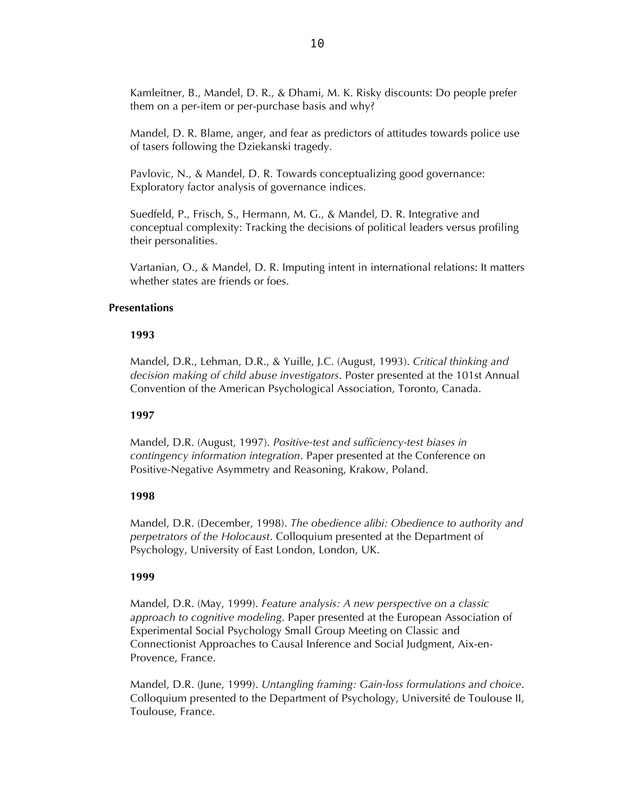Kamleitner, B., Mandel, D. R., & Dhami, M. K. Risky discounts: Do people prefer them on a per-item or per-purchase basis and why?

Mandel, D. R. Blame, anger, and fear as predictors of attitudes towards police use of tasers following the Dziekanski tragedy.

Pavlovic, N., & Mandel, D. R. Towards conceptualizing good governance: Exploratory factor analysis of governance indices.

Suedfeld, P., Frisch, S., Hermann, M. G., & Mandel, D. R. Integrative and conceptual complexity: Tracking the decisions of political leaders versus profiling their personalities.

Vartanian, O., & Mandel, D. R. Imputing intent in international relations: It matters whether states are friends or foes.

### **Presentations**

### **1993**

Mandel, D.R., Lehman, D.R., & Yuille, J.C. (August, 1993). *Critical thinking and decision making of child abuse investigators*. Poster presented at the 101st Annual Convention of the American Psychological Association, Toronto, Canada.

# **1997**

Mandel, D.R. (August, 1997). *Positive-test and sufficiency-test biases in contingency information integration*. Paper presented at the Conference on Positive-Negative Asymmetry and Reasoning, Krakow, Poland.

# **1998**

Mandel, D.R. (December, 1998). *The obedience alibi: Obedience to authority and perpetrators of the Holocaust*. Colloquium presented at the Department of Psychology, University of East London, London, UK.

# **1999**

Mandel, D.R. (May, 1999). *Feature analysis: A new perspective on a classic approach to cognitive modeling*. Paper presented at the European Association of Experimental Social Psychology Small Group Meeting on Classic and Connectionist Approaches to Causal Inference and Social Judgment, Aix-en-Provence, France.

Mandel, D.R. (June, 1999). *Untangling framing: Gain-loss formulations and choice*. Colloquium presented to the Department of Psychology, Université de Toulouse II, Toulouse, France.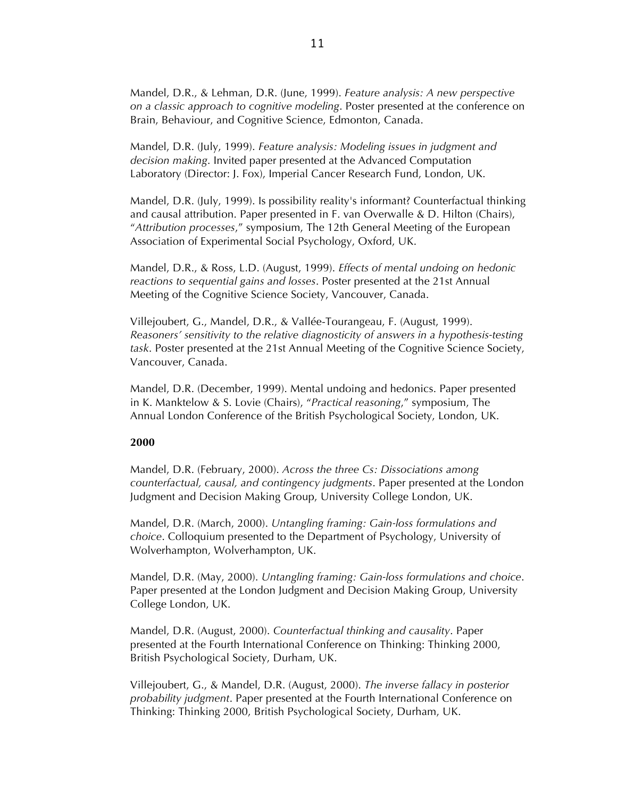Mandel, D.R., & Lehman, D.R. (June, 1999). *Feature analysis: A new perspective on a classic approach to cognitive modeling*. Poster presented at the conference on Brain, Behaviour, and Cognitive Science, Edmonton, Canada.

Mandel, D.R. (July, 1999). *Feature analysis: Modeling issues in judgment and decision making*. Invited paper presented at the Advanced Computation Laboratory (Director: J. Fox), Imperial Cancer Research Fund, London, UK.

Mandel, D.R. (July, 1999). Is possibility reality's informant? Counterfactual thinking and causal attribution. Paper presented in F. van Overwalle & D. Hilton (Chairs), "*Attribution processes*," symposium, The 12th General Meeting of the European Association of Experimental Social Psychology, Oxford, UK.

Mandel, D.R., & Ross, L.D. (August, 1999). *Effects of mental undoing on hedonic reactions to sequential gains and losses*. Poster presented at the 21st Annual Meeting of the Cognitive Science Society, Vancouver, Canada.

Villejoubert, G., Mandel, D.R., & Vallée-Tourangeau, F. (August, 1999). *Reasoners' sensitivity to the relative diagnosticity of answers in a hypothesis-testing task*. Poster presented at the 21st Annual Meeting of the Cognitive Science Society, Vancouver, Canada.

Mandel, D.R. (December, 1999). Mental undoing and hedonics. Paper presented in K. Manktelow & S. Lovie (Chairs), "*Practical reasoning*," symposium, The Annual London Conference of the British Psychological Society, London, UK.

### **2000**

Mandel, D.R. (February, 2000). *Across the three Cs: Dissociations among counterfactual, causal, and contingency judgments*. Paper presented at the London Judgment and Decision Making Group, University College London, UK.

Mandel, D.R. (March, 2000). *Untangling framing: Gain-loss formulations and choice*. Colloquium presented to the Department of Psychology, University of Wolverhampton, Wolverhampton, UK.

Mandel, D.R. (May, 2000). *Untangling framing: Gain-loss formulations and choice*. Paper presented at the London Judgment and Decision Making Group, University College London, UK.

Mandel, D.R. (August, 2000). *Counterfactual thinking and causality*. Paper presented at the Fourth International Conference on Thinking: Thinking 2000, British Psychological Society, Durham, UK.

Villejoubert, G., & Mandel, D.R. (August, 2000). *The inverse fallacy in posterior probability judgment*. Paper presented at the Fourth International Conference on Thinking: Thinking 2000, British Psychological Society, Durham, UK.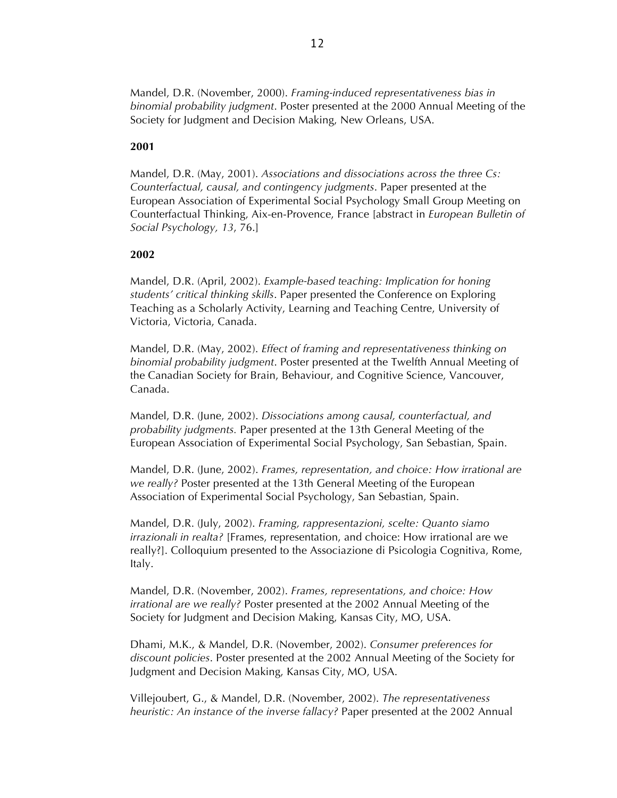Mandel, D.R. (November, 2000). *Framing-induced representativeness bias in binomial probability judgment*. Poster presented at the 2000 Annual Meeting of the Society for Judgment and Decision Making, New Orleans, USA.

#### **2001**

Mandel, D.R. (May, 2001). *Associations and dissociations across the three Cs: Counterfactual, causal, and contingency judgments*. Paper presented at the European Association of Experimental Social Psychology Small Group Meeting on Counterfactual Thinking, Aix-en-Provence, France [abstract in *European Bulletin of Social Psychology, 13*, 76.]

#### **2002**

Mandel, D.R. (April, 2002). *Example-based teaching: Implication for honing students' critical thinking skills*. Paper presented the Conference on Exploring Teaching as a Scholarly Activity, Learning and Teaching Centre, University of Victoria, Victoria, Canada.

Mandel, D.R. (May, 2002). *Effect of framing and representativeness thinking on binomial probability judgment*. Poster presented at the Twelfth Annual Meeting of the Canadian Society for Brain, Behaviour, and Cognitive Science, Vancouver, Canada.

Mandel, D.R. (June, 2002). *Dissociations among causal, counterfactual, and probability judgments.* Paper presented at the 13th General Meeting of the European Association of Experimental Social Psychology, San Sebastian, Spain.

Mandel, D.R. (June, 2002). *Frames, representation, and choice: How irrational are we really?* Poster presented at the 13th General Meeting of the European Association of Experimental Social Psychology, San Sebastian, Spain.

Mandel, D.R. (July, 2002). *Framing, rappresentazioni, scelte: Quanto siamo irrazionali in realta?* [Frames, representation, and choice: How irrational are we really?]. Colloquium presented to the Associazione di Psicologia Cognitiva, Rome, Italy.

Mandel, D.R. (November, 2002). *Frames, representations, and choice: How irrational are we really?* Poster presented at the 2002 Annual Meeting of the Society for Judgment and Decision Making, Kansas City, MO, USA.

Dhami, M.K., & Mandel, D.R. (November, 2002). *Consumer preferences for discount policies*. Poster presented at the 2002 Annual Meeting of the Society for Judgment and Decision Making, Kansas City, MO, USA.

Villejoubert, G., & Mandel, D.R. (November, 2002). *The representativeness heuristic: An instance of the inverse fallacy?* Paper presented at the 2002 Annual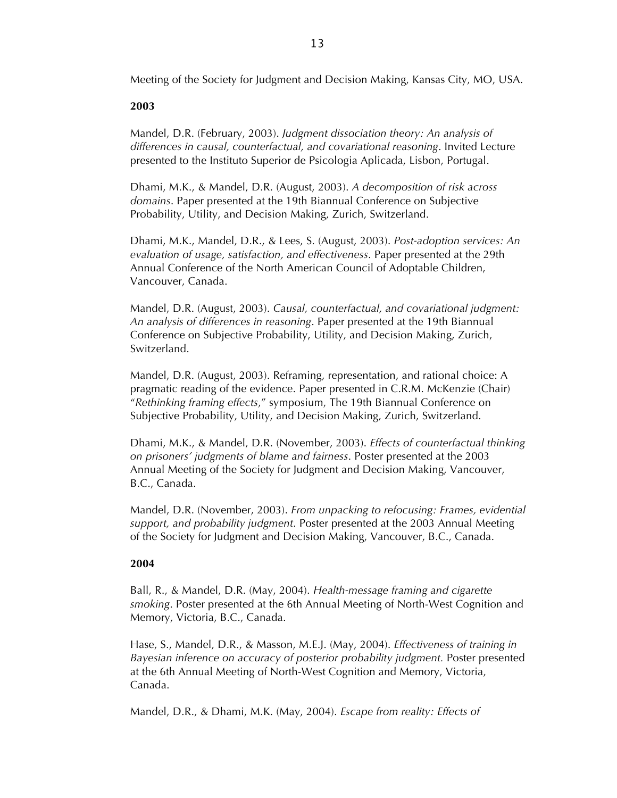Meeting of the Society for Judgment and Decision Making, Kansas City, MO, USA.

# **2003**

Mandel, D.R. (February, 2003). *Judgment dissociation theory: An analysis of differences in causal, counterfactual, and covariational reasoning*. Invited Lecture presented to the Instituto Superior de Psicologia Aplicada, Lisbon, Portugal.

Dhami, M.K., & Mandel, D.R. (August, 2003). *A decomposition of risk across domains*. Paper presented at the 19th Biannual Conference on Subjective Probability, Utility, and Decision Making, Zurich, Switzerland.

Dhami, M.K., Mandel, D.R., & Lees, S. (August, 2003). *Post-adoption services: An evaluation of usage, satisfaction, and effectiveness*. Paper presented at the 29th Annual Conference of the North American Council of Adoptable Children, Vancouver, Canada.

Mandel, D.R. (August, 2003). *Causal, counterfactual, and covariational judgment: An analysis of differences in reasoning*. Paper presented at the 19th Biannual Conference on Subjective Probability, Utility, and Decision Making, Zurich, Switzerland.

Mandel, D.R. (August, 2003). Reframing, representation, and rational choice: A pragmatic reading of the evidence. Paper presented in C.R.M. McKenzie (Chair) "*Rethinking framing effects*," symposium, The 19th Biannual Conference on Subjective Probability, Utility, and Decision Making, Zurich, Switzerland.

Dhami, M.K., & Mandel, D.R. (November, 2003). *Effects of counterfactual thinking on prisoners' judgments of blame and fairness*. Poster presented at the 2003 Annual Meeting of the Society for Judgment and Decision Making, Vancouver, B.C., Canada.

Mandel, D.R. (November, 2003). *From unpacking to refocusing: Frames, evidential support, and probability judgment*. Poster presented at the 2003 Annual Meeting of the Society for Judgment and Decision Making, Vancouver, B.C., Canada.

# **2004**

Ball, R., & Mandel, D.R. (May, 2004). *Health-message framing and cigarette smoking*. Poster presented at the 6th Annual Meeting of North-West Cognition and Memory, Victoria, B.C., Canada.

Hase, S., Mandel, D.R., & Masson, M.E.J. (May, 2004). *Effectiveness of training in Bayesian inference on accuracy of posterior probability judgment.* Poster presented at the 6th Annual Meeting of North-West Cognition and Memory, Victoria, Canada.

Mandel, D.R., & Dhami, M.K. (May, 2004). *Escape from reality: Effects of*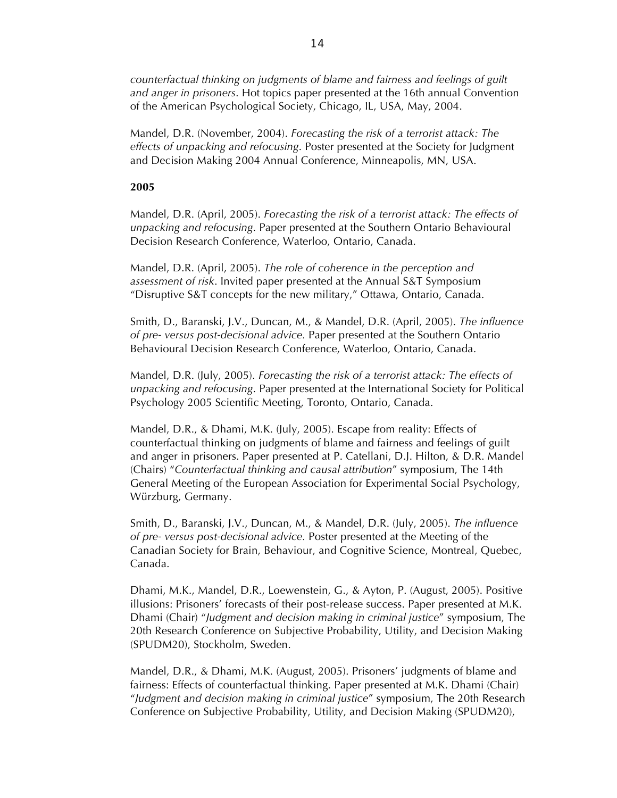*counterfactual thinking on judgments of blame and fairness and feelings of guilt and anger in prisoners*. Hot topics paper presented at the 16th annual Convention of the American Psychological Society, Chicago, IL, USA, May, 2004.

Mandel, D.R. (November, 2004). *Forecasting the risk of a terrorist attack: The effects of unpacking and refocusing*. Poster presented at the Society for Judgment and Decision Making 2004 Annual Conference, Minneapolis, MN, USA.

### **2005**

Mandel, D.R. (April, 2005). *Forecasting the risk of a terrorist attack: The effects of unpacking and refocusing*. Paper presented at the Southern Ontario Behavioural Decision Research Conference, Waterloo, Ontario, Canada.

Mandel, D.R. (April, 2005). *The role of coherence in the perception and assessment of risk*. Invited paper presented at the Annual S&T Symposium "Disruptive S&T concepts for the new military," Ottawa, Ontario, Canada.

Smith, D., Baranski, J.V., Duncan, M., & Mandel, D.R. (April, 2005). *The influence of pre- versus post-decisional advice.* Paper presented at the Southern Ontario Behavioural Decision Research Conference, Waterloo, Ontario, Canada.

Mandel, D.R. (July, 2005). *Forecasting the risk of a terrorist attack: The effects of unpacking and refocusing*. Paper presented at the International Society for Political Psychology 2005 Scientific Meeting, Toronto, Ontario, Canada.

Mandel, D.R., & Dhami, M.K. (July, 2005). Escape from reality: Effects of counterfactual thinking on judgments of blame and fairness and feelings of guilt and anger in prisoners. Paper presented at P. Catellani, D.J. Hilton, & D.R. Mandel (Chairs) "*Counterfactual thinking and causal attribution*" symposium, The 14th General Meeting of the European Association for Experimental Social Psychology, Würzburg, Germany.

Smith, D., Baranski, J.V., Duncan, M., & Mandel, D.R. (July, 2005). *The influence of pre- versus post-decisional advice.* Poster presented at the Meeting of the Canadian Society for Brain, Behaviour, and Cognitive Science, Montreal, Quebec, Canada.

Dhami, M.K., Mandel, D.R., Loewenstein, G., & Ayton, P. (August, 2005). Positive illusions: Prisoners' forecasts of their post-release success. Paper presented at M.K. Dhami (Chair) "*Judgment and decision making in criminal justice*" symposium, The 20th Research Conference on Subjective Probability, Utility, and Decision Making (SPUDM20), Stockholm, Sweden.

Mandel, D.R., & Dhami, M.K. (August, 2005). Prisoners' judgments of blame and fairness: Effects of counterfactual thinking. Paper presented at M.K. Dhami (Chair) "*Judgment and decision making in criminal justice*" symposium, The 20th Research Conference on Subjective Probability, Utility, and Decision Making (SPUDM20),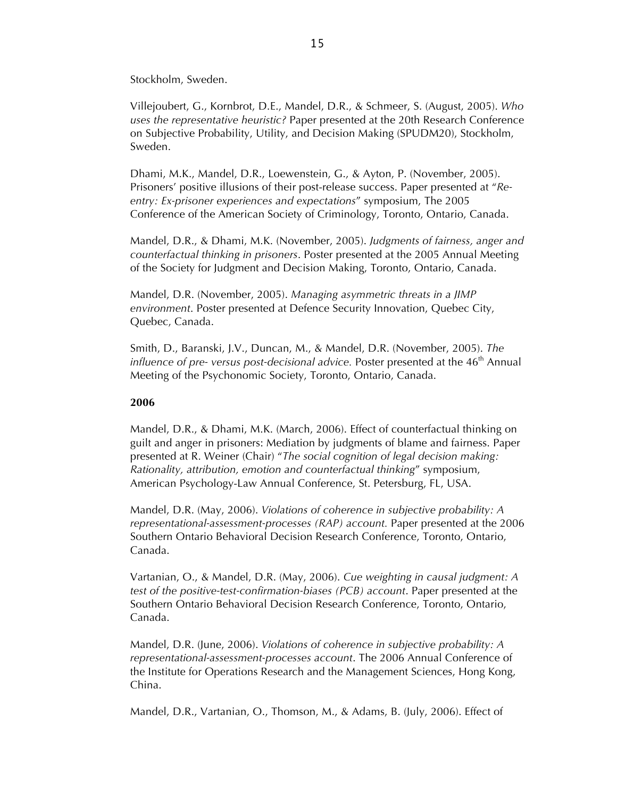Stockholm, Sweden.

Villejoubert, G., Kornbrot, D.E., Mandel, D.R., & Schmeer, S. (August, 2005). *Who uses the representative heuristic?* Paper presented at the 20th Research Conference on Subjective Probability, Utility, and Decision Making (SPUDM20), Stockholm, Sweden.

Dhami, M.K., Mandel, D.R., Loewenstein, G., & Ayton, P. (November, 2005). Prisoners' positive illusions of their post-release success. Paper presented at "*Reentry: Ex-prisoner experiences and expectations*" symposium, The 2005 Conference of the American Society of Criminology, Toronto, Ontario, Canada.

Mandel, D.R., & Dhami, M.K. (November, 2005). *Judgments of fairness, anger and counterfactual thinking in prisoners*. Poster presented at the 2005 Annual Meeting of the Society for Judgment and Decision Making, Toronto, Ontario, Canada.

Mandel, D.R. (November, 2005). *Managing asymmetric threats in a JIMP environment*. Poster presented at Defence Security Innovation, Quebec City, Quebec, Canada.

Smith, D., Baranski, J.V., Duncan, M., & Mandel, D.R. (November, 2005). *The influence of pre- versus post-decisional advice.* Poster presented at the 46<sup>th</sup> Annual Meeting of the Psychonomic Society, Toronto, Ontario, Canada.

### **2006**

Mandel, D.R., & Dhami, M.K. (March, 2006). Effect of counterfactual thinking on guilt and anger in prisoners: Mediation by judgments of blame and fairness. Paper presented at R. Weiner (Chair) "*The social cognition of legal decision making: Rationality, attribution, emotion and counterfactual thinking*" symposium, American Psychology-Law Annual Conference, St. Petersburg, FL, USA.

Mandel, D.R. (May, 2006). *Violations of coherence in subjective probability: A representational-assessment-processes (RAP) account.* Paper presented at the 2006 Southern Ontario Behavioral Decision Research Conference, Toronto, Ontario, Canada.

Vartanian, O., & Mandel, D.R. (May, 2006). *Cue weighting in causal judgment: A test of the positive-test-confirmation-biases (PCB) account*. Paper presented at the Southern Ontario Behavioral Decision Research Conference, Toronto, Ontario, Canada.

Mandel, D.R. (June, 2006). *Violations of coherence in subjective probability: A representational-assessment-processes account*. The 2006 Annual Conference of the Institute for Operations Research and the Management Sciences, Hong Kong, China.

Mandel, D.R., Vartanian, O., Thomson, M., & Adams, B. (July, 2006). Effect of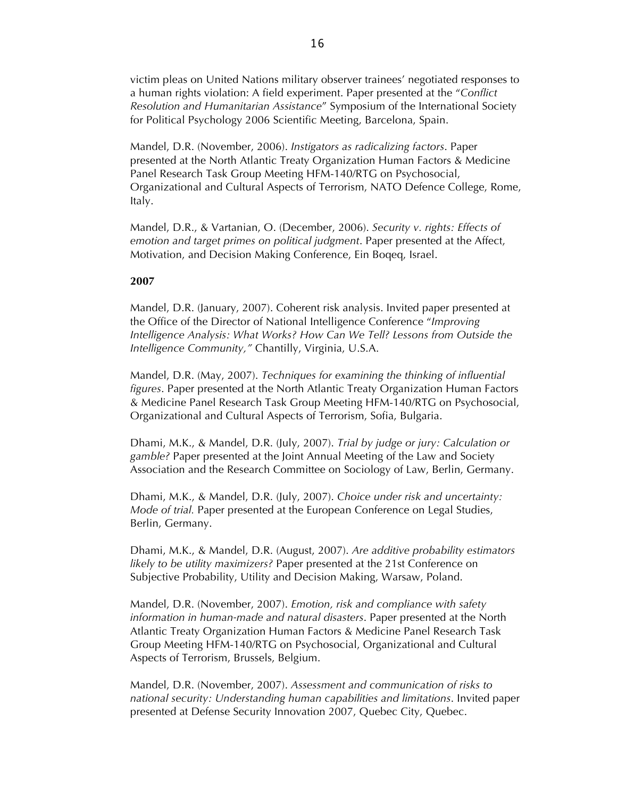victim pleas on United Nations military observer trainees' negotiated responses to a human rights violation: A field experiment. Paper presented at the "*Conflict Resolution and Humanitarian Assistance*" Symposium of the International Society for Political Psychology 2006 Scientific Meeting, Barcelona, Spain.

Mandel, D.R. (November, 2006). *Instigators as radicalizing factors*. Paper presented at the North Atlantic Treaty Organization Human Factors & Medicine Panel Research Task Group Meeting HFM-140/RTG on Psychosocial, Organizational and Cultural Aspects of Terrorism, NATO Defence College, Rome, Italy.

Mandel, D.R., & Vartanian, O. (December, 2006). *Security v. rights: Effects of emotion and target primes on political judgment*. Paper presented at the Affect, Motivation, and Decision Making Conference, Ein Boqeq, Israel.

### **2007**

Mandel, D.R. (January, 2007). Coherent risk analysis. Invited paper presented at the Office of the Director of National Intelligence Conference "*Improving Intelligence Analysis: What Works? How Can We Tell? Lessons from Outside the Intelligence Community,"* Chantilly, Virginia, U.S.A.

Mandel, D.R. (May, 2007). *Techniques for examining the thinking of influential figures*. Paper presented at the North Atlantic Treaty Organization Human Factors & Medicine Panel Research Task Group Meeting HFM-140/RTG on Psychosocial, Organizational and Cultural Aspects of Terrorism, Sofia, Bulgaria.

Dhami, M.K., & Mandel, D.R. (July, 2007). *Trial by judge or jury: Calculation or gamble?* Paper presented at the Joint Annual Meeting of the Law and Society Association and the Research Committee on Sociology of Law, Berlin, Germany.

Dhami, M.K., & Mandel, D.R. (July, 2007). *Choice under risk and uncertainty: Mode of trial.* Paper presented at the European Conference on Legal Studies, Berlin, Germany.

Dhami, M.K., & Mandel, D.R. (August, 2007). *Are additive probability estimators likely to be utility maximizers?* Paper presented at the 21st Conference on Subjective Probability, Utility and Decision Making, Warsaw, Poland.

Mandel, D.R. (November, 2007). *Emotion, risk and compliance with safety information in human-made and natural disasters*. Paper presented at the North Atlantic Treaty Organization Human Factors & Medicine Panel Research Task Group Meeting HFM-140/RTG on Psychosocial, Organizational and Cultural Aspects of Terrorism, Brussels, Belgium.

Mandel, D.R. (November, 2007). *Assessment and communication of risks to national security: Understanding human capabilities and limitations*. Invited paper presented at Defense Security Innovation 2007, Quebec City, Quebec.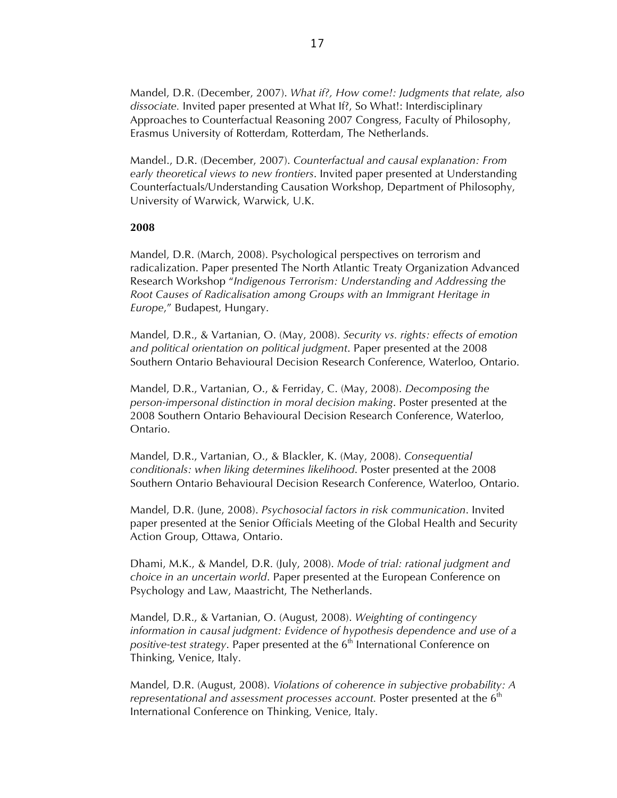Mandel, D.R. (December, 2007). *What if?, How come!: Judgments that relate, also dissociate.* Invited paper presented at What If?, So What!: Interdisciplinary Approaches to Counterfactual Reasoning 2007 Congress, Faculty of Philosophy, Erasmus University of Rotterdam, Rotterdam, The Netherlands.

Mandel., D.R. (December, 2007). *Counterfactual and causal explanation: From early theoretical views to new frontiers*. Invited paper presented at Understanding Counterfactuals/Understanding Causation Workshop, Department of Philosophy, University of Warwick, Warwick, U.K.

### **2008**

Mandel, D.R. (March, 2008). Psychological perspectives on terrorism and radicalization. Paper presented The North Atlantic Treaty Organization Advanced Research Workshop "*Indigenous Terrorism: Understanding and Addressing the Root Causes of Radicalisation among Groups with an Immigrant Heritage in Europe*," Budapest, Hungary.

Mandel, D.R., & Vartanian, O. (May, 2008). *Security vs. rights: effects of emotion and political orientation on political judgment*. Paper presented at the 2008 Southern Ontario Behavioural Decision Research Conference, Waterloo, Ontario.

Mandel, D.R., Vartanian, O., & Ferriday, C. (May, 2008). *Decomposing the person-impersonal distinction in moral decision making*. Poster presented at the 2008 Southern Ontario Behavioural Decision Research Conference, Waterloo, Ontario.

Mandel, D.R., Vartanian, O., & Blackler, K. (May, 2008). *Consequential conditionals: when liking determines likelihood*. Poster presented at the 2008 Southern Ontario Behavioural Decision Research Conference, Waterloo, Ontario.

Mandel, D.R. (June, 2008). *Psychosocial factors in risk communication*. Invited paper presented at the Senior Officials Meeting of the Global Health and Security Action Group, Ottawa, Ontario.

Dhami, M.K., & Mandel, D.R. (July, 2008). *Mode of trial: rational judgment and choice in an uncertain world*. Paper presented at the European Conference on Psychology and Law, Maastricht, The Netherlands.

Mandel, D.R., & Vartanian, O. (August, 2008). *Weighting of contingency information in causal judgment: Evidence of hypothesis dependence and use of a positive-test strategy*. Paper presented at the 6<sup>th</sup> International Conference on Thinking, Venice, Italy.

Mandel, D.R. (August, 2008). *Violations of coherence in subjective probability: A representational and assessment processes account.* Poster presented at the 6<sup>th</sup> International Conference on Thinking, Venice, Italy.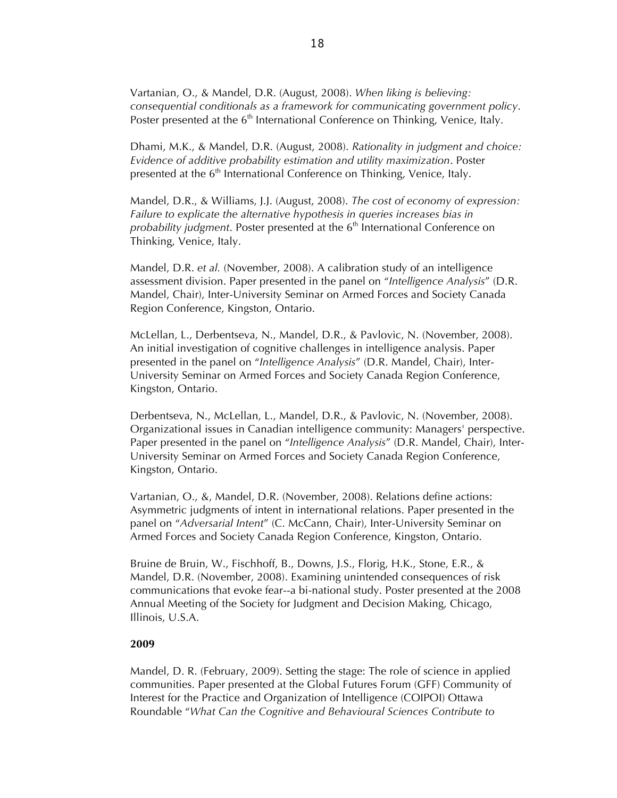Vartanian, O., & Mandel, D.R. (August, 2008). *When liking is believing: consequential conditionals as a framework for communicating government policy*. Poster presented at the 6<sup>th</sup> International Conference on Thinking, Venice, Italy.

Dhami, M.K., & Mandel, D.R. (August, 2008). *Rationality in judgment and choice: Evidence of additive probability estimation and utility maximization*. Poster presented at the  $6<sup>th</sup>$  International Conference on Thinking, Venice, Italy.

Mandel, D.R., & Williams, J.J. (August, 2008). *The cost of economy of expression: Failure to explicate the alternative hypothesis in queries increases bias in probability judgment.* Poster presented at the 6<sup>th</sup> International Conference on Thinking, Venice, Italy.

Mandel, D.R. *et al.* (November, 2008). A calibration study of an intelligence assessment division. Paper presented in the panel on "*Intelligence Analysis*" (D.R. Mandel, Chair), Inter-University Seminar on Armed Forces and Society Canada Region Conference, Kingston, Ontario.

McLellan, L., Derbentseva, N., Mandel, D.R., & Pavlovic, N. (November, 2008). An initial investigation of cognitive challenges in intelligence analysis. Paper presented in the panel on "*Intelligence Analysis*" (D.R. Mandel, Chair), Inter-University Seminar on Armed Forces and Society Canada Region Conference, Kingston, Ontario.

Derbentseva, N., McLellan, L., Mandel, D.R., & Pavlovic, N. (November, 2008). Organizational issues in Canadian intelligence community: Managers' perspective. Paper presented in the panel on "*Intelligence Analysis*" (D.R. Mandel, Chair), Inter-University Seminar on Armed Forces and Society Canada Region Conference, Kingston, Ontario.

Vartanian, O., &, Mandel, D.R. (November, 2008). Relations define actions: Asymmetric judgments of intent in international relations. Paper presented in the panel on "*Adversarial Intent*" (C. McCann, Chair), Inter-University Seminar on Armed Forces and Society Canada Region Conference, Kingston, Ontario.

Bruine de Bruin, W., Fischhoff, B., Downs, J.S., Florig, H.K., Stone, E.R., & Mandel, D.R. (November, 2008). Examining unintended consequences of risk communications that evoke fear--a bi-national study. Poster presented at the 2008 Annual Meeting of the Society for Judgment and Decision Making, Chicago, Illinois, U.S.A.

### **2009**

Mandel, D. R. (February, 2009). Setting the stage: The role of science in applied communities. Paper presented at the Global Futures Forum (GFF) Community of Interest for the Practice and Organization of Intelligence (COIPOI) Ottawa Roundable "*What Can the Cognitive and Behavioural Sciences Contribute to*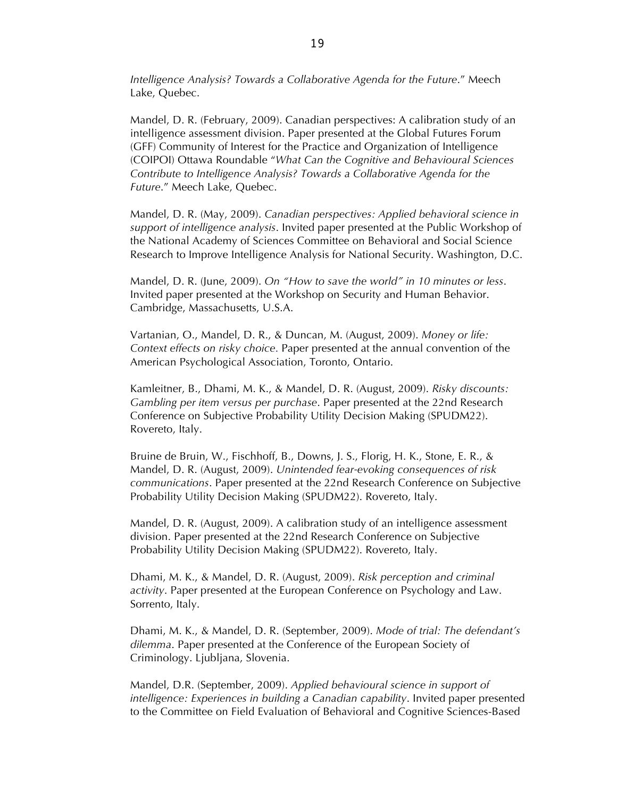*Intelligence Analysis? Towards a Collaborative Agenda for the Future*." Meech Lake, Quebec.

Mandel, D. R. (February, 2009). Canadian perspectives: A calibration study of an intelligence assessment division. Paper presented at the Global Futures Forum (GFF) Community of Interest for the Practice and Organization of Intelligence (COIPOI) Ottawa Roundable "*What Can the Cognitive and Behavioural Sciences Contribute to Intelligence Analysis? Towards a Collaborative Agenda for the Future*." Meech Lake, Quebec.

Mandel, D. R. (May, 2009). *Canadian perspectives: Applied behavioral science in support of intelligence analysis*. Invited paper presented at the Public Workshop of the National Academy of Sciences Committee on Behavioral and Social Science Research to Improve Intelligence Analysis for National Security. Washington, D.C.

Mandel, D. R. (June, 2009). *On "How to save the world" in 10 minutes or less*. Invited paper presented at the Workshop on Security and Human Behavior. Cambridge, Massachusetts, U.S.A.

Vartanian, O., Mandel, D. R., & Duncan, M. (August, 2009). *Money or life: Context effects on risky choice*. Paper presented at the annual convention of the American Psychological Association, Toronto, Ontario.

Kamleitner, B., Dhami, M. K., & Mandel, D. R. (August, 2009). *Risky discounts: Gambling per item versus per purchase*. Paper presented at the 22nd Research Conference on Subjective Probability Utility Decision Making (SPUDM22). Rovereto, Italy.

Bruine de Bruin, W., Fischhoff, B., Downs, J. S., Florig, H. K., Stone, E. R., & Mandel, D. R. (August, 2009). *Unintended fear-evoking consequences of risk communications*. Paper presented at the 22nd Research Conference on Subjective Probability Utility Decision Making (SPUDM22). Rovereto, Italy.

Mandel, D. R. (August, 2009). A calibration study of an intelligence assessment division. Paper presented at the 22nd Research Conference on Subjective Probability Utility Decision Making (SPUDM22). Rovereto, Italy.

Dhami, M. K., & Mandel, D. R. (August, 2009). *Risk perception and criminal activity*. Paper presented at the European Conference on Psychology and Law. Sorrento, Italy.

Dhami, M. K., & Mandel, D. R. (September, 2009). *Mode of trial: The defendant's dilemma*. Paper presented at the Conference of the European Society of Criminology. Ljubljana, Slovenia.

Mandel, D.R. (September, 2009). *Applied behavioural science in support of intelligence: Experiences in building a Canadian capability*. Invited paper presented to the Committee on Field Evaluation of Behavioral and Cognitive Sciences-Based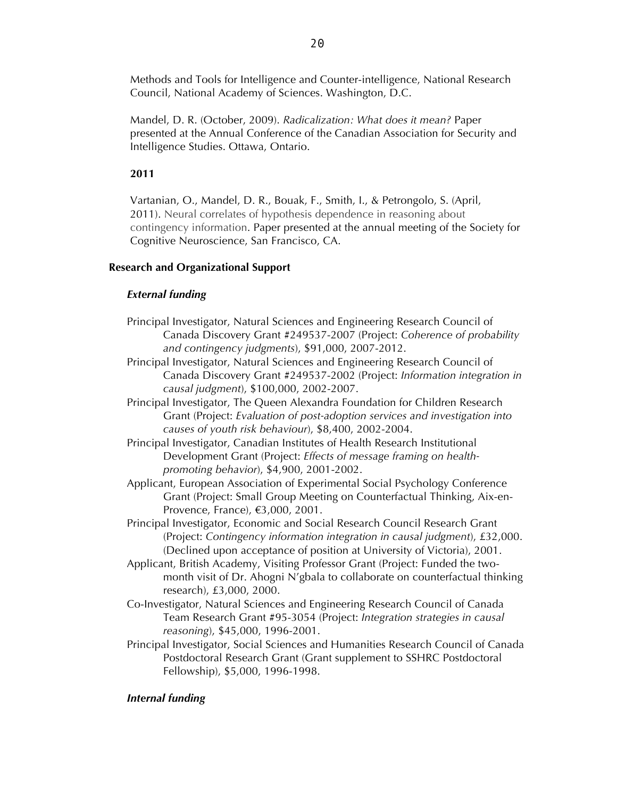Methods and Tools for Intelligence and Counter-intelligence, National Research Council, National Academy of Sciences. Washington, D.C.

Mandel, D. R. (October, 2009). *Radicalization: What does it mean?* Paper presented at the Annual Conference of the Canadian Association for Security and Intelligence Studies. Ottawa, Ontario.

# **2011**

Vartanian, O., Mandel, D. R., Bouak, F., Smith, I., & Petrongolo, S. (April, 2011). Neural correlates of hypothesis dependence in reasoning about contingency information. Paper presented at the annual meeting of the Society for Cognitive Neuroscience, San Francisco, CA.

# **Research and Organizational Support**

# *External funding*

- Principal Investigator, Natural Sciences and Engineering Research Council of Canada Discovery Grant #249537-2007 (Project: *Coherence of probability and contingency judgments*), \$91,000, 2007-2012.
- Principal Investigator, Natural Sciences and Engineering Research Council of Canada Discovery Grant #249537-2002 (Project: *Information integration in causal judgment*), \$100,000, 2002-2007.
- Principal Investigator, The Queen Alexandra Foundation for Children Research Grant (Project: *Evaluation of post-adoption services and investigation into causes of youth risk behaviour*), \$8,400, 2002-2004.
- Principal Investigator, Canadian Institutes of Health Research Institutional Development Grant (Project: *Effects of message framing on healthpromoting behavior*), \$4,900, 2001-2002.
- Applicant, European Association of Experimental Social Psychology Conference Grant (Project: Small Group Meeting on Counterfactual Thinking, Aix-en-Provence, France), €3,000, 2001.
- Principal Investigator, Economic and Social Research Council Research Grant (Project: *Contingency information integration in causal judgment*), £32,000. (Declined upon acceptance of position at University of Victoria), 2001.
- Applicant, British Academy, Visiting Professor Grant (Project: Funded the twomonth visit of Dr. Ahogni N'gbala to collaborate on counterfactual thinking research), £3,000, 2000.
- Co-Investigator, Natural Sciences and Engineering Research Council of Canada Team Research Grant #95-3054 (Project: *Integration strategies in causal reasoning*), \$45,000, 1996-2001.
- Principal Investigator, Social Sciences and Humanities Research Council of Canada Postdoctoral Research Grant (Grant supplement to SSHRC Postdoctoral Fellowship), \$5,000, 1996-1998.

# *Internal funding*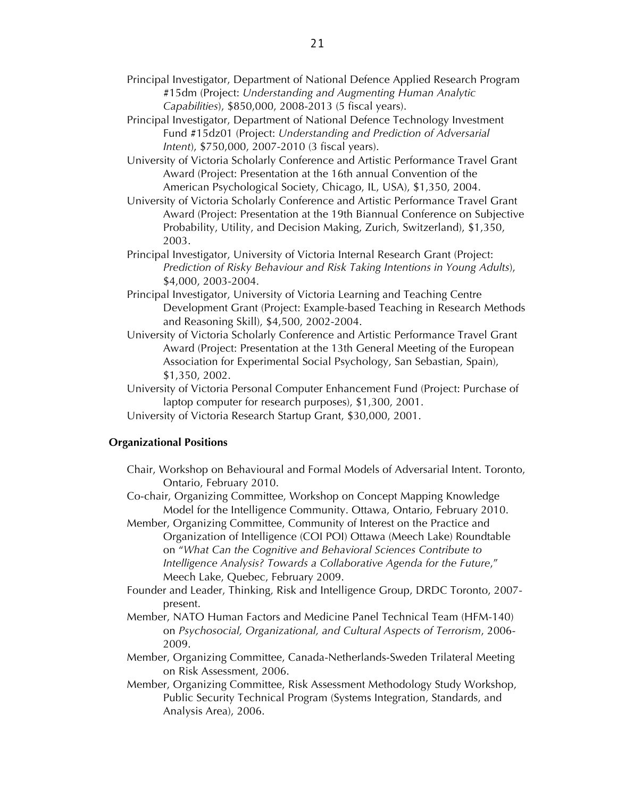- Principal Investigator, Department of National Defence Applied Research Program #15dm (Project: *Understanding and Augmenting Human Analytic Capabilities*), \$850,000, 2008-2013 (5 fiscal years).
- Principal Investigator, Department of National Defence Technology Investment Fund #15dz01 (Project: *Understanding and Prediction of Adversarial Intent*), \$750,000, 2007-2010 (3 fiscal years).
- University of Victoria Scholarly Conference and Artistic Performance Travel Grant Award (Project: Presentation at the 16th annual Convention of the American Psychological Society, Chicago, IL, USA), \$1,350, 2004.
- University of Victoria Scholarly Conference and Artistic Performance Travel Grant Award (Project: Presentation at the 19th Biannual Conference on Subjective Probability, Utility, and Decision Making, Zurich, Switzerland), \$1,350, 2003.
- Principal Investigator, University of Victoria Internal Research Grant (Project: *Prediction of Risky Behaviour and Risk Taking Intentions in Young Adults*), \$4,000, 2003-2004.
- Principal Investigator, University of Victoria Learning and Teaching Centre Development Grant (Project: Example-based Teaching in Research Methods and Reasoning Skill), \$4,500, 2002-2004.
- University of Victoria Scholarly Conference and Artistic Performance Travel Grant Award (Project: Presentation at the 13th General Meeting of the European Association for Experimental Social Psychology, San Sebastian, Spain), \$1,350, 2002.

University of Victoria Personal Computer Enhancement Fund (Project: Purchase of laptop computer for research purposes), \$1,300, 2001.

University of Victoria Research Startup Grant, \$30,000, 2001.

### **Organizational Positions**

Chair, Workshop on Behavioural and Formal Models of Adversarial Intent. Toronto, Ontario, February 2010.

Co-chair, Organizing Committee, Workshop on Concept Mapping Knowledge Model for the Intelligence Community. Ottawa, Ontario, February 2010.

- Member, Organizing Committee, Community of Interest on the Practice and Organization of Intelligence (COI POI) Ottawa (Meech Lake) Roundtable on "*What Can the Cognitive and Behavioral Sciences Contribute to Intelligence Analysis? Towards a Collaborative Agenda for the Future*," Meech Lake, Quebec, February 2009.
- Founder and Leader, Thinking, Risk and Intelligence Group, DRDC Toronto, 2007 present.
- Member, NATO Human Factors and Medicine Panel Technical Team (HFM-140) on *Psychosocial, Organizational, and Cultural Aspects of Terrorism*, 2006- 2009.
- Member, Organizing Committee, Canada-Netherlands-Sweden Trilateral Meeting on Risk Assessment, 2006.
- Member, Organizing Committee, Risk Assessment Methodology Study Workshop, Public Security Technical Program (Systems Integration, Standards, and Analysis Area), 2006.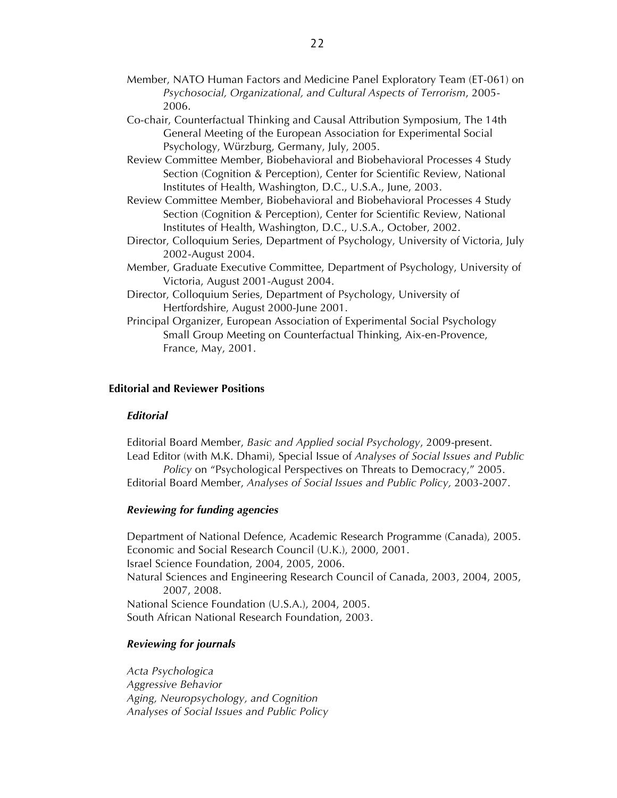- Member, NATO Human Factors and Medicine Panel Exploratory Team (ET-061) on *Psychosocial, Organizational, and Cultural Aspects of Terrorism*, 2005- 2006.
- Co-chair, Counterfactual Thinking and Causal Attribution Symposium, The 14th General Meeting of the European Association for Experimental Social Psychology, Würzburg, Germany, July, 2005.
- Review Committee Member, Biobehavioral and Biobehavioral Processes 4 Study Section (Cognition & Perception), Center for Scientific Review, National Institutes of Health, Washington, D.C., U.S.A., June, 2003.
- Review Committee Member, Biobehavioral and Biobehavioral Processes 4 Study Section (Cognition & Perception), Center for Scientific Review, National Institutes of Health, Washington, D.C., U.S.A., October, 2002.
- Director, Colloquium Series, Department of Psychology, University of Victoria, July 2002-August 2004.
- Member, Graduate Executive Committee, Department of Psychology, University of Victoria, August 2001-August 2004.
- Director, Colloquium Series, Department of Psychology, University of Hertfordshire, August 2000-June 2001.
- Principal Organizer, European Association of Experimental Social Psychology Small Group Meeting on Counterfactual Thinking, Aix-en-Provence, France, May, 2001.

# **Editorial and Reviewer Positions**

### *Editorial*

Editorial Board Member, *Basic and Applied social Psychology*, 2009-present. Lead Editor (with M.K. Dhami), Special Issue of *Analyses of Social Issues and Public Policy* on "Psychological Perspectives on Threats to Democracy," 2005. Editorial Board Member, *Analyses of Social Issues and Public Policy,* 2003-2007.

### *Reviewing for funding agencies*

Department of National Defence, Academic Research Programme (Canada), 2005. Economic and Social Research Council (U.K.), 2000, 2001. Israel Science Foundation, 2004, 2005, 2006. Natural Sciences and Engineering Research Council of Canada, 2003, 2004, 2005, 2007, 2008. National Science Foundation (U.S.A.), 2004, 2005. South African National Research Foundation, 2003.

### *Reviewing for journals*

*Acta Psychologica Aggressive Behavior Aging, Neuropsychology, and Cognition Analyses of Social Issues and Public Policy*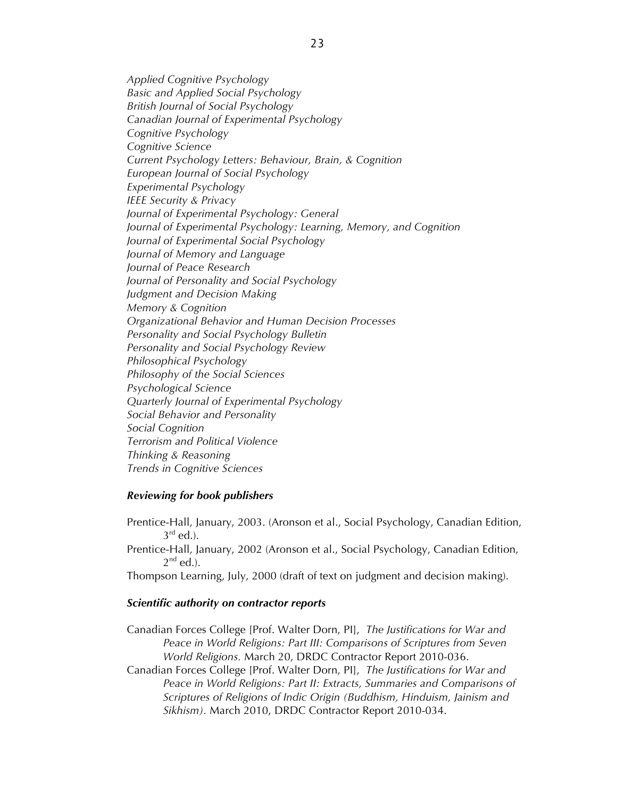*Applied Cognitive Psychology Basic and Applied Social Psychology British Journal of Social Psychology Canadian Journal of Experimental Psychology Cognitive Psychology Cognitive Science Current Psychology Letters: Behaviour, Brain, & Cognition European Journal of Social Psychology Experimental Psychology IEEE Security & Privacy Journal of Experimental Psychology: General Journal of Experimental Psychology: Learning, Memory, and Cognition Journal of Experimental Social Psychology Journal of Memory and Language Journal of Peace Research Journal of Personality and Social Psychology Judgment and Decision Making Memory & Cognition Organizational Behavior and Human Decision Processes Personality and Social Psychology Bulletin Personality and Social Psychology Review Philosophical Psychology Philosophy of the Social Sciences Psychological Science Quarterly Journal of Experimental Psychology Social Behavior and Personality Social Cognition Terrorism and Political Violence Thinking & Reasoning Trends in Cognitive Sciences*

### *Reviewing for book publishers*

Prentice-Hall, January, 2003. (Aronson et al., Social Psychology, Canadian Edition,  $3^{\text{rd}}$  ed.).

Prentice-Hall, January, 2002 (Aronson et al., Social Psychology, Canadian Edition,  $2^{nd}$  ed.).

Thompson Learning, July, 2000 (draft of text on judgment and decision making).

### *Scientific authority on contractor reports*

Canadian Forces College [Prof. Walter Dorn, PI], *The Justifications for War and Peace in World Religions: Part III: Comparisons of Scriptures from Seven World Religions.* March 20, DRDC Contractor Report 2010-036.

Canadian Forces College [Prof. Walter Dorn, PI], *The Justifications for War and Peace in World Religions: Part II: Extracts, Summaries and Comparisons of Scriptures of Religions of Indic Origin (Buddhism, Hinduism, Jainism and Sikhism).* March 2010, DRDC Contractor Report 2010-034.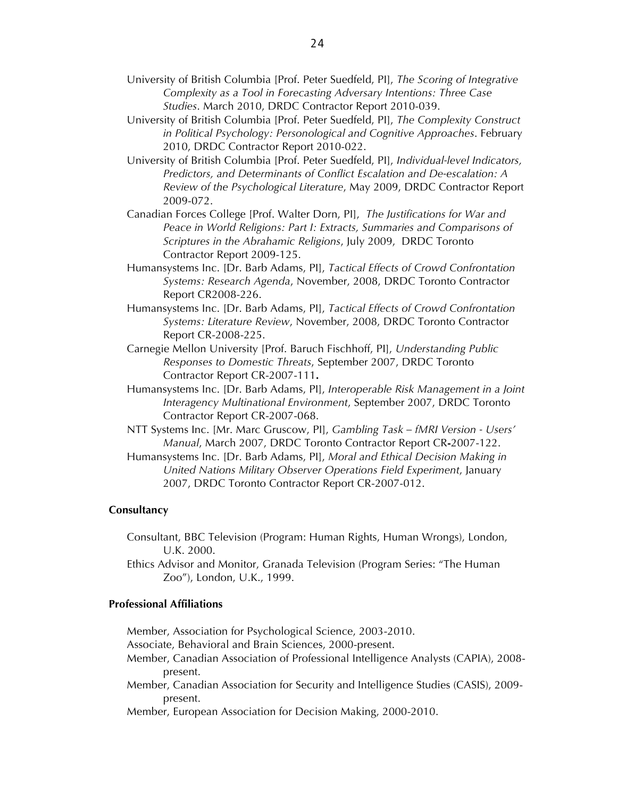- University of British Columbia [Prof. Peter Suedfeld, PI], *The Scoring of Integrative Complexity as a Tool in Forecasting Adversary Intentions: Three Case Studies*. March 2010, DRDC Contractor Report 2010-039.
- University of British Columbia [Prof. Peter Suedfeld, PI], *The Complexity Construct in Political Psychology: Personological and Cognitive Approaches*. February 2010, DRDC Contractor Report 2010-022.
- University of British Columbia [Prof. Peter Suedfeld, PI], *Individual-level Indicators, Predictors, and Determinants of Conflict Escalation and De-escalation: A Review of the Psychological Literature*, May 2009, DRDC Contractor Report 2009-072.
- Canadian Forces College [Prof. Walter Dorn, PI], *The Justifications for War and Peace in World Religions: Part I: Extracts, Summaries and Comparisons of Scriptures in the Abrahamic Religions*, July 2009, DRDC Toronto Contractor Report 2009-125.
- Humansystems Inc. [Dr. Barb Adams, PI], *Tactical Effects of Crowd Confrontation Systems: Research Agenda*, November, 2008, DRDC Toronto Contractor Report CR2008-226.
- Humansystems Inc. [Dr. Barb Adams, PI], *Tactical Effects of Crowd Confrontation Systems: Literature Review*, November, 2008, DRDC Toronto Contractor Report CR-2008-225.
- Carnegie Mellon University [Prof. Baruch Fischhoff, PI], *Understanding Public Responses to Domestic Threats*, September 2007, DRDC Toronto Contractor Report CR-2007-111**.**
- Humansystems Inc. [Dr. Barb Adams, PI], *Interoperable Risk Management in a Joint Interagency Multinational Environment*, September 2007, DRDC Toronto Contractor Report CR-2007-068.
- NTT Systems Inc. [Mr. Marc Gruscow, PI], *Gambling Task – fMRI Version - Users' Manual*, March 2007, DRDC Toronto Contractor Report CR**-**2007-122.
- Humansystems Inc. [Dr. Barb Adams, PI], *Moral and Ethical Decision Making in United Nations Military Observer Operations Field Experiment*, January 2007, DRDC Toronto Contractor Report CR-2007-012.

### **Consultancy**

- Consultant, BBC Television (Program: Human Rights, Human Wrongs), London, U.K. 2000.
- Ethics Advisor and Monitor, Granada Television (Program Series: "The Human Zoo"), London, U.K., 1999.

# **Professional Affiliations**

Member, Association for Psychological Science, 2003-2010.

- Associate, Behavioral and Brain Sciences, 2000-present.
- Member, Canadian Association of Professional Intelligence Analysts (CAPIA), 2008 present.
- Member, Canadian Association for Security and Intelligence Studies (CASIS), 2009 present.

Member, European Association for Decision Making, 2000-2010.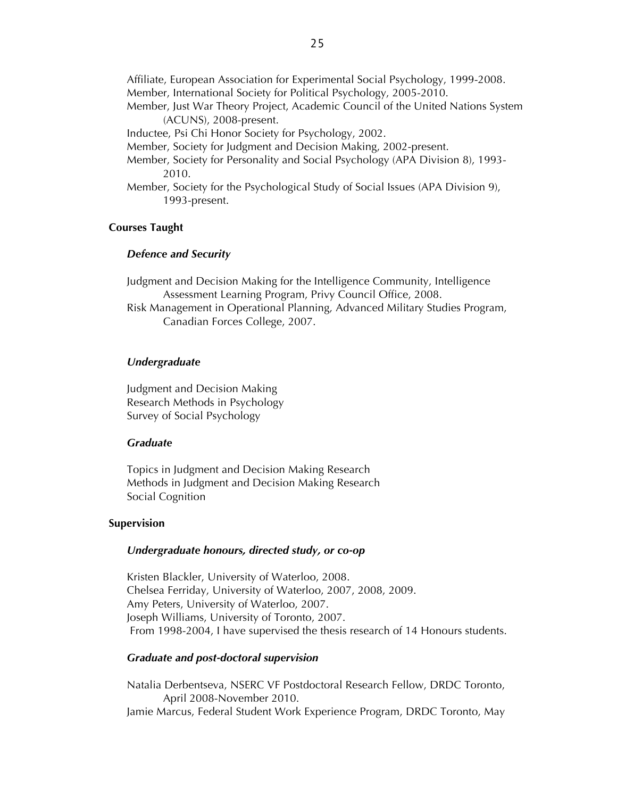Affiliate, European Association for Experimental Social Psychology, 1999-2008. Member, International Society for Political Psychology, 2005-2010.

Member, Just War Theory Project, Academic Council of the United Nations System (ACUNS), 2008-present.

Inductee, Psi Chi Honor Society for Psychology, 2002.

- Member, Society for Judgment and Decision Making, 2002-present.
- Member, Society for Personality and Social Psychology (APA Division 8), 1993- 2010.
- Member, Society for the Psychological Study of Social Issues (APA Division 9), 1993-present.

### **Courses Taught**

### *Defence and Security*

Judgment and Decision Making for the Intelligence Community, Intelligence Assessment Learning Program, Privy Council Office, 2008.

Risk Management in Operational Planning, Advanced Military Studies Program, Canadian Forces College, 2007.

### *Undergraduate*

Judgment and Decision Making Research Methods in Psychology Survey of Social Psychology

# *Graduate*

Topics in Judgment and Decision Making Research Methods in Judgment and Decision Making Research Social Cognition

#### **Supervision**

### *Undergraduate honours, directed study, or co-op*

Kristen Blackler, University of Waterloo, 2008. Chelsea Ferriday, University of Waterloo, 2007, 2008, 2009. Amy Peters, University of Waterloo, 2007. Joseph Williams, University of Toronto, 2007. From 1998-2004, I have supervised the thesis research of 14 Honours students.

### *Graduate and post-doctoral supervision*

Natalia Derbentseva, NSERC VF Postdoctoral Research Fellow, DRDC Toronto, April 2008-November 2010. Jamie Marcus, Federal Student Work Experience Program, DRDC Toronto, May